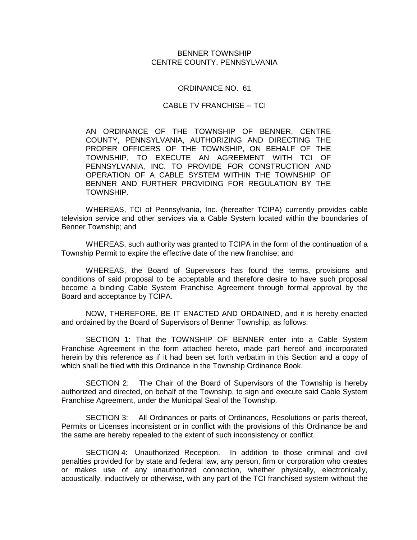## BENNER TOWNSHIP CENTRE COUNTY, PENNSYLVANIA

## ORDINANCE NO. 61

## CABLE TV FRANCHISE -- TCI

AN ORDINANCE OF THE TOWNSHIP OF BENNER, CENTRE COUNTY, PENNSYLVANIA, AUTHORIZING AND DIRECTING THE PROPER OFFICERS OF THE TOWNSHIP, ON BEHALF OF THE TOWNSHIP, TO EXECUTE AN AGREEMENT WITH TCI OF PENNSYLVANIA, INC. TO PROVIDE FOR CONSTRUCTION AND OPERATION OF A CABLE SYSTEM WITHIN THE TOWNSHIP OF BENNER AND FURTHER PROVIDING FOR REGULATION BY THE TOWNSHIP.

WHEREAS, TCI of Pennsylvania, Inc. (hereafter TCIPA) currently provides cable television service and other services via a Cable System located within the boundaries of Benner Township; and

WHEREAS, such authority was granted to TCIPA in the form of the continuation of a Township Permit to expire the effective date of the new franchise; and

WHEREAS, the Board of Supervisors has found the terms, provisions and conditions of said proposal to be acceptable and therefore desire to have such proposal become a binding Cable System Franchise Agreement through formal approval by the Board and acceptance by TCIPA.

NOW, THEREFORE, BE IT ENACTED AND ORDAINED, and it is hereby enacted and ordained by the Board of Supervisors of Benner Township, as follows:

SECTION 1: That the TOWNSHIP OF BENNER enter into a Cable System Franchise Agreement in the form attached hereto, made part hereof and incorporated herein by this reference as if it had been set forth verbatim in this Section and a copy of which shall be filed with this Ordinance in the Township Ordinance Book.

SECTION 2: The Chair of the Board of Supervisors of the Township is hereby authorized and directed, on behalf of the Township, to sign and execute said Cable System Franchise Agreement, under the Municipal Seal of the Township.

SECTION 3: All Ordinances or parts of Ordinances, Resolutions or parts thereof, Permits or Licenses inconsistent or in conflict with the provisions of this Ordinance be and the same are hereby repealed to the extent of such inconsistency or conflict.

SECTION 4: Unauthorized Reception. In addition to those criminal and civil penalties provided for by state and federal law, any person, firm or corporation who creates or makes use of any unauthorized connection, whether physically, electronically, acoustically, inductively or otherwise, with any part of the TCI franchised system without the